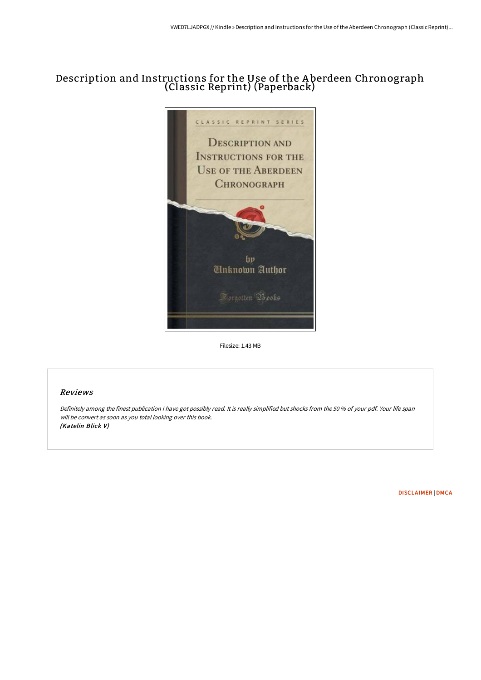## Description and Instructions for the Use of the A berdeen Chronograph (Classic Reprint) (Paperback)



Filesize: 1.43 MB

## Reviews

Definitely among the finest publication <sup>I</sup> have got possibly read. It is really simplified but shocks from the <sup>50</sup> % of your pdf. Your life span will be convert as soon as you total looking over this book. (Katelin Blick V)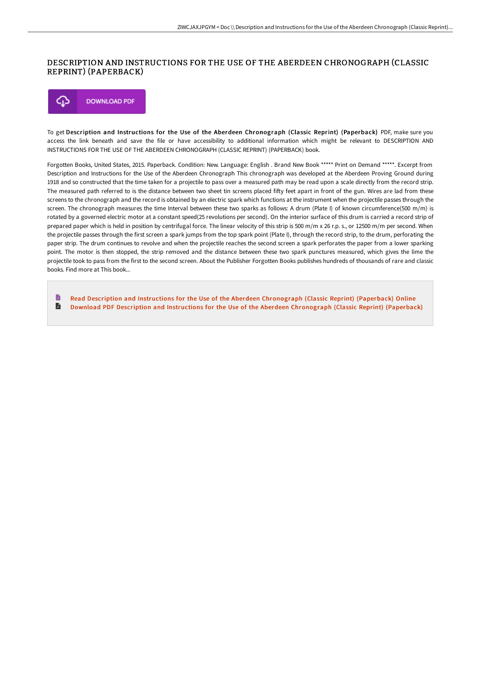## DESCRIPTION AND INSTRUCTIONS FOR THE USE OF THE ABERDEEN CHRONOGRAPH (CLASSIC REPRINT) (PAPERBACK)

**DOWNLOAD PDF** ঞ

To get Description and Instructions for the Use of the Aberdeen Chronograph (Classic Reprint) (Paperback) PDF, make sure you access the link beneath and save the file or have accessibility to additional information which might be relevant to DESCRIPTION AND INSTRUCTIONS FOR THE USE OF THE ABERDEEN CHRONOGRAPH (CLASSIC REPRINT) (PAPERBACK) book.

Forgotten Books, United States, 2015. Paperback. Condition: New. Language: English . Brand New Book \*\*\*\*\* Print on Demand \*\*\*\*\*. Excerpt from Description and Instructions for the Use of the Aberdeen Chronograph This chronograph was developed at the Aberdeen Proving Ground during 1918 and so constructed that the time taken for a projectile to pass over a measured path may be read upon a scale directly from the record strip. The measured path referred to is the distance between two sheet tin screens placed fifty feet apart in front of the gun. Wires are lad from these screens to the chronograph and the record is obtained by an electric spark which functions at the instrument when the projectile passes through the screen. The chronograph measures the time Interval between these two sparks as follows: A drum (Plate I) of known circumference(500 m/m) is rotated by a governed electric motor at a constant speed(25 revolutions per second). On the interior surface of this drum is carried a record strip of prepared paper which is held in position by centrifugal force. The linear velocity of this strip is 500 m/m x 26 r.p. s., or 12500 m/m per second. When the projectile passes through the first screen a spark jumps from the top spark point (Plate I), through the record strip, to the drum, perforating the paper strip. The drum continues to revolve and when the projectile reaches the second screen a spark perforates the paper from a lower sparking point. The motor is then stopped, the strip removed and the distance between these two spark punctures measured, which gives the lime the projectile took to pass from the first to the second screen. About the Publisher Forgotten Books publishes hundreds of thousands of rare and classic books. Find more at This book...

B Read Description and Instructions for the Use of the Aberdeen [Chronograph](http://techno-pub.tech/description-and-instructions-for-the-use-of-the-.html) (Classic Reprint) (Paperback) Online  $\blacksquare$ Download PDF Description and Instructions for the Use of the Aberdeen [Chronograph](http://techno-pub.tech/description-and-instructions-for-the-use-of-the-.html) (Classic Reprint) (Paperback)